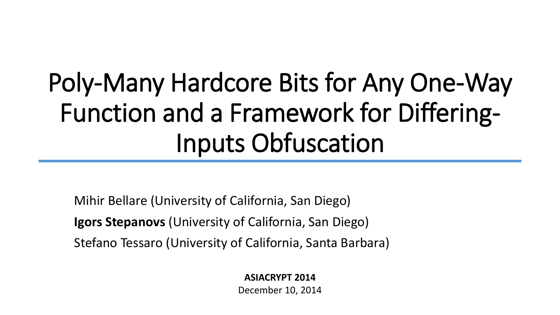# Poly-Many Hardcore Bits for Any One-Way Function and a Framework for Differing-Inputs Obfuscation

Mihir Bellare (University of California, San Diego) **Igors Stepanovs** (University of California, San Diego) Stefano Tessaro (University of California, Santa Barbara)

> **ASIACRYPT 2014** December 10, 2014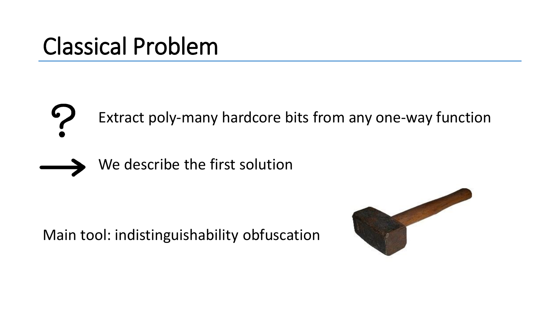### Classical Problem

Extract poly-many hardcore bits from any one-way function



We describe the first solution

Main tool: indistinguishability obfuscation

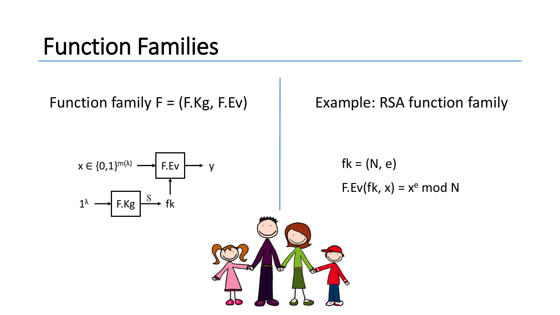#### Function Families

Function family  $F = (F.Kg, F.Ev)$  Example: RSA function family

 $\parallel$  F.Ev  $\downarrow \rightarrow \vee$  $\overline{P}$  F.Kg  $\overline{\rightarrow}$  fk  $1<sup>\lambda</sup>$  $x \in \{0,1\}^{m(\lambda)}$ 

 $fk = (N, e)$  $F.Ev(fk, x) = x<sup>e</sup> \text{ mod } N$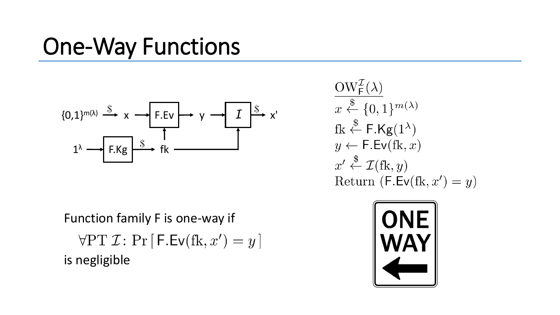## One-Way Functions



Function family F is one-way if  $\forall$ PT  $\mathcal{I}$ : Pr  $[F.Ev(fk, x') = y]$ is negligible

 $\frac{\text{OW}^{\mathcal{I}}_{\mathsf{F}}(\lambda)}{x \stackrel{\$}{\leftarrow} \{0,1\}^{m(\lambda)}}$ fk  $\xleftarrow{\$}$  F.Kg(1<sup> $\lambda$ </sup>)  $y \leftarrow \mathsf{F}.\mathsf{Ev}(\mathrm{fk},x)$  $x' \stackrel{\$}{\leftarrow} \mathcal{I}(\text{fk}, y)$ Return  $(F.Ev(fk, x') = y)$ 

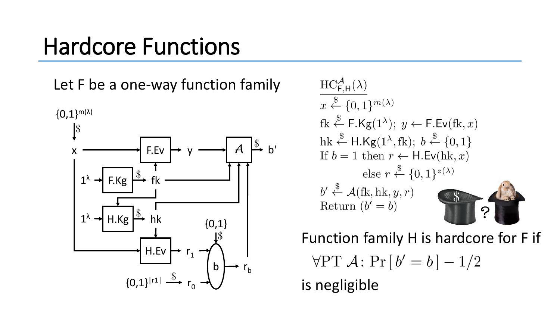#### Hardcore Functions

Let F be a one-way function family



$$
\frac{\text{HC}_{\text{F,H}}^{\mathcal{A}}(\lambda)}{x \stackrel{\$}{\leftarrow} \{0,1\}^{m(\lambda)}}\n\text{fk} \stackrel{\$}{\leftarrow} \text{F.Kg}(1^{\lambda}); y \leftarrow \text{F.Ev}(\text{fk}, x)\n\text{hk} \stackrel{\$}{\leftarrow} \text{H.Kg}(1^{\lambda}, \text{fk}); b \stackrel{\$}{\leftarrow} \{0,1\}\n\text{If } b = 1 \text{ then } r \leftarrow \text{H.Ev}(\text{hk}, x)\n\text{else } r \stackrel{\$}{\leftarrow} \{0,1\}^{z(\lambda)}\n\text{b'} \stackrel{\$}{\leftarrow} \mathcal{A}(\text{fk}, \text{hk}, y, r)\n\text{Return } (b' = b)
$$

Function family H is hardcore for F if  $\forall PT \mathcal{A}$ :  $Pr[b' = b] - 1/2$ is negligible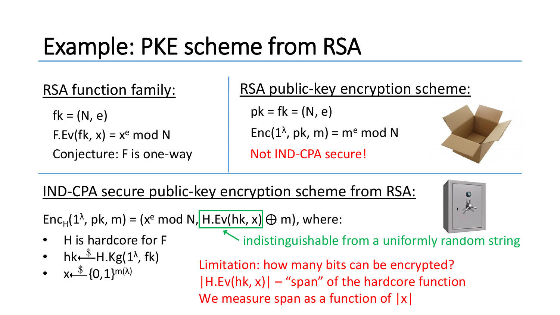# Example: PKE scheme from RSA

#### RSA function family:

 $fk = (N, e)$  $F.Ev(fk, x) = x<sup>e</sup> \text{ mod } N$ Conjecture: F is one-way Not IND-CPA secure!

#### RSA public-key encryption scheme:

 $pk = fk = (N, e)$ Enc( $1^\lambda$ , pk, m) = m<sup>e</sup> mod N





IND-CPA secure public-key encryption scheme from RSA:

Enc<sub>H</sub>(1<sup> $\lambda$ </sup>, pk, m) = (x<sup>e</sup> mod N, H.Ev(hk, x)  $\oplus$  m), where:

- H is hardcore for F
- hk $\stackrel{\$}{\longleftarrow}$ H.Kg(1<sup> $\lambda$ </sup>, fk)
- $x \leftarrow$   $\{0,1\}^{m(\lambda)}$

indistinguishable from a uniformly random string

Limitation: how many bits can be encrypted?  $|H.Ev(hk, x)| -$ "span" of the hardcore function We measure span as a function of  $|x|$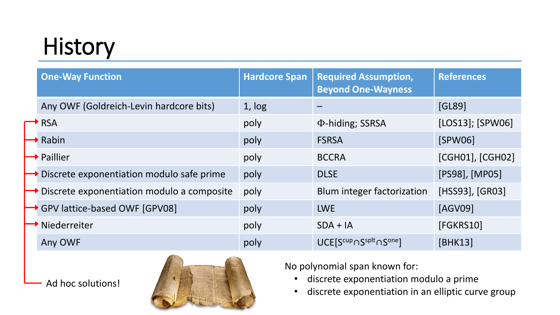# History

| <b>One-Way Function</b>                                  | <b>Hardcore Span</b> | <b>Required Assumption,</b><br><b>Beyond One-Wayness</b> | <b>References</b> |
|----------------------------------------------------------|----------------------|----------------------------------------------------------|-------------------|
| Any OWF (Goldreich-Levin hardcore bits)                  | 1, log               |                                                          | [GL89]            |
| $\rightarrow$ RSA                                        | poly                 | Φ-hiding; SSRSA                                          | [LOS13]; [SPW06]  |
| $\rightarrow$ Rabin                                      | poly                 | <b>FSRSA</b>                                             | [SPW06]           |
| $\rightarrow$ Paillier                                   | poly                 | <b>BCCRA</b>                                             | [CGH01], [CGH02]  |
| $\rightarrow$ Discrete exponentiation modulo safe prime  | poly                 | <b>DLSE</b>                                              | [PS98], [MP05]    |
| $\rightarrow$ Discrete exponentiation modulo a composite | poly                 | Blum integer factorization                               | [HSS93], [GR03]   |
| GPV lattice-based OWF [GPV08]                            | poly                 | <b>LWE</b>                                               | [AGV09]           |
| Niederreiter                                             | poly                 | $SDA + IA$                                               | [FGKRS10]         |
| Any OWF                                                  | poly                 | UCE[Scup o Ssplt o Sone]                                 | [BHK13]           |

Ad hoc solutions!



No polynomial span known for:

- discrete exponentiation modulo a prime
- discrete exponentiation in an elliptic curve group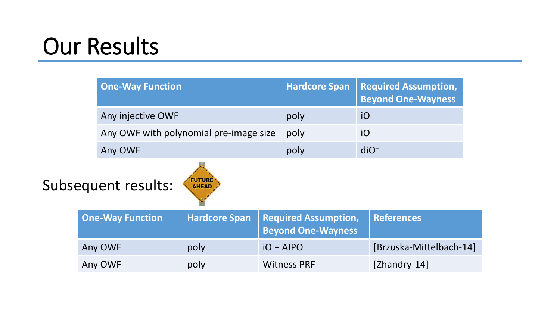## Our Results

|                                                      | <b>One-Way Function</b> |                      | <b>Hardcore Span</b> | <b>Required Assumption,</b><br><b>Beyond One-Wayness</b> |                         |  |  |  |
|------------------------------------------------------|-------------------------|----------------------|----------------------|----------------------------------------------------------|-------------------------|--|--|--|
| Any injective OWF                                    |                         | poly                 | iO                   |                                                          |                         |  |  |  |
| Any OWF with polynomial pre-image size               |                         |                      | poly                 | iO                                                       |                         |  |  |  |
|                                                      | Any OWF                 |                      |                      | poly                                                     | $diO^-$                 |  |  |  |
| <b>FUTURE</b><br>Subsequent results:<br><b>AHEAD</b> |                         |                      |                      |                                                          |                         |  |  |  |
|                                                      | <b>One-Way Function</b> | <b>Hardcore Span</b> |                      | <b>Required Assumption,</b><br><b>Beyond One-Wayness</b> | <b>References</b>       |  |  |  |
|                                                      | Any OWF                 | poly                 |                      | $IO + AIPO$                                              | [Brzuska-Mittelbach-14] |  |  |  |
|                                                      | Any OWF                 | poly                 |                      | <b>Witness PRF</b>                                       | $[Zhandry-14]$          |  |  |  |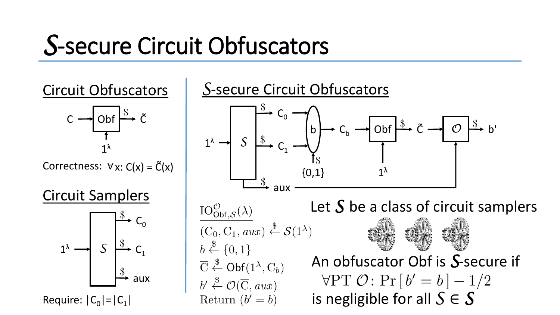# *S*-secure Circuit Obfuscators



Correctness:  $\forall x: C(x) = \tilde{C}(x)$ 1

λ

 $\tilde{\mathsf{C}}$ 

Circuit Samplers

 $C \rightarrow$  Obf



Require:  $|C_0|=|C_1|$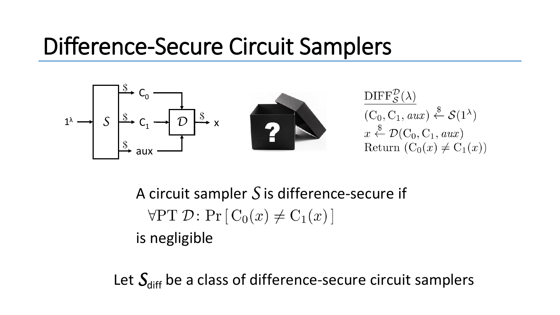### Difference-Secure Circuit Samplers



A circuit sampler *S* is difference-secure if  $\forall PT \mathcal{D}$ :  $Pr[C_0(x) \neq C_1(x)]$ is negligible

Let  $S_{\text{diff}}$  be a class of difference-secure circuit samplers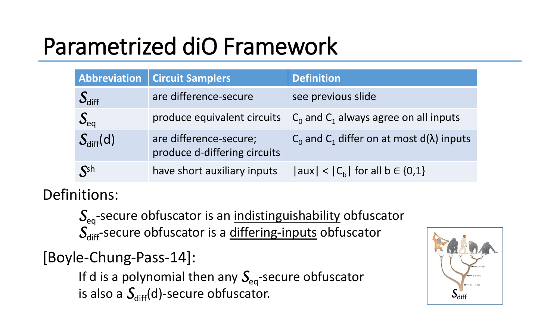# Parametrized diO Framework

| <b>Abbreviation</b>         | Circuit Samplers                                       | <b>Definition</b>                                       |
|-----------------------------|--------------------------------------------------------|---------------------------------------------------------|
| $S_{\text{diff}}$           | are difference-secure                                  | see previous slide                                      |
| $S_{eq}$                    | produce equivalent circuits                            | $C_0$ and $C_1$ always agree on all inputs              |
| $S_{diff}(d)$               | are difference-secure;<br>produce d-differing circuits | $C_0$ and $C_1$ differ on at most d( $\lambda$ ) inputs |
| $\mathcal{S}^{\mathsf{sh}}$ | have short auxiliary inputs                            | $ aux  <  C_b $ for all b $\in \{0,1\}$                 |

Definitions:

 $S_{eq}$ -secure obfuscator is an indistinguishability obfuscator S<sub>diff</sub>-secure obfuscator is a differing-inputs obfuscator

[Boyle-Chung-Pass-14]:

If d is a polynomial then any  $S_{eq}$ -secure obfuscator is also a  $S<sub>diff</sub>(d)$ -secure obfuscator.

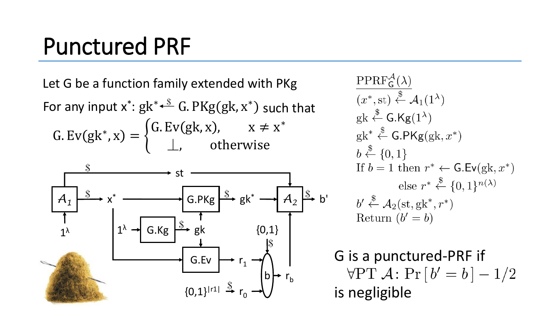### Punctured PRF

Let G be a function family extended with PKg G. Ev(gk<sup>\*</sup>, x) =  $\left\{ \right.$ G. Ev(gk, x),  $x \neq x^*$  $\perp$ , otherwise For any input  $x^*$ :  $gk^* \stackrel{\$}{\longleftarrow} G$ . PKg $(gk, x^*)$  such that



 $PPRF_G^{\mathcal{A}}(\lambda)$  $(x^*, \mathrm{st}) \overset{\$}{\leftarrow} \mathcal{A}_1(1^{\lambda})$  $gk \stackrel{\$}{\leftarrow} G.Kg(1^{\lambda})$  $gk^* \stackrel{\$}{\leftarrow}$  G.PKg $(gk, x^*)$  $b \stackrel{\$}{\leftarrow} \{0,1\}$ If  $b = 1$  then  $r^* \leftarrow$  G.Ev(gk,  $x^*$ ) else  $r^* \stackrel{\$}{\leftarrow} \{0,1\}^{n(\lambda)}$  $b' \stackrel{\$}{\leftarrow} \mathcal{A}_2(\mathrm{st}, \mathrm{g}\mathrm{k}^*, r^*)$ Return  $(b' = b)$ 

G is a punctured-PRF if  $\forall PT \mathcal{A}$ :  $Pr[b' = b] - 1/2$ is negligible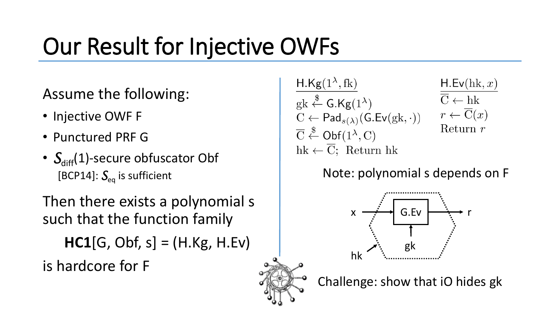# Our Result for Injective OWFs

#### Assume the following:

- Injective OWF F
- Punctured PRF G
- $S_{diff}(1)$ -secure obfuscator Obf [BCP14]:  $S_{eq}$  is sufficient

Then there exists a polynomial s such that the function family **HC1**[G, Obf, s] = (H.Kg, H.Ev) is hardcore for F

 $H.Kg(1^{\lambda},fk)$  $gk \stackrel{\$}{\leftarrow} G.Kg(1^{\lambda})$  $C \leftarrow \mathsf{Pad}_{s(\lambda)}(\mathsf{G}.\mathsf{Ev}(\mathrm{g}\mathrm{k},\cdot))$  $\overline{C} \stackrel{\$}{\leftarrow} \text{Obf}(1^{\lambda}, C)$  $hk \leftarrow \overline{C}$ ; Return hk

$$
\frac{\mathsf{H}.\mathsf{Ev}(\mathsf{hk}, x)}{\overline{\mathsf{C}} \leftarrow \mathsf{hk} \atop r \leftarrow \overline{\mathsf{C}}(x)}\n\text{Return } r
$$

Note: polynomial s depends on F



Challenge: show that iO hides gk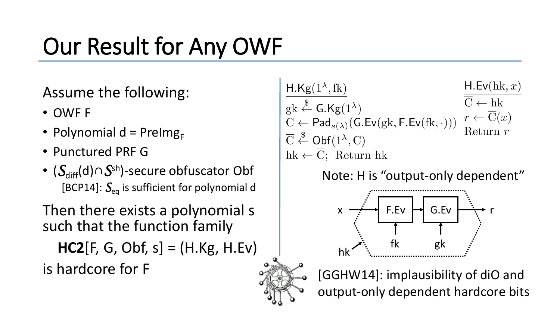# Our Result for Any OWF

Assume the following:

- OWF F
- Polynomial d = Prelmg $_{F}$
- Punctured PRF G
- ( $\mathcal{S}_{\text{diff}}(\mathsf{d})\!\cap\!\mathcal{S}^{\mathsf{sh}}$ )-secure obfuscator Obf [BCP14]:  $S_{eq}$  is sufficient for polynomial d

Then there exists a polynomial s such that the function family

**HC2**[F, G, Obf, s] = (H.Kg, H.Ev) is hardcore for F

 $H.Ev(hk, x)$  $H.Kg(1^{\lambda},fk)$  $\overline{\overline{C}} \leftarrow hk$  $gk \stackrel{\$}{\leftarrow} G.Kg(1^{\lambda})$  $r \leftarrow \overline{\mathrm{C}}(x)$  $C \leftarrow \mathsf{Pad}_{s(\lambda)}(\mathsf{G}.\mathsf{Ev}(\mathrm{gk},\mathsf{F}.\mathsf{Ev}(\mathrm{fk},\cdot)))$ Return  $r$  $\overline{C} \stackrel{\$}{\leftarrow} \text{Obf}(1^{\lambda}, C)$  $hk \leftarrow \overline{C}$ ; Return hk

Note: H is "output-only dependent"





[GGHW14]: implausibility of diO and output-only dependent hardcore bits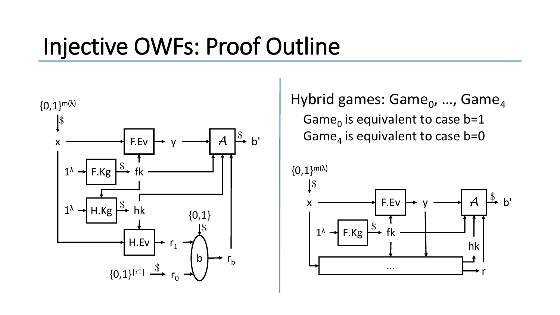### Injective OWFs: Proof Outline



Hybrid games: Game<sub>0</sub>, ..., Game<sub>4</sub> Game<sub>0</sub> is equivalent to case b=1 F.Ev  $\rightarrow$  y  $\rightarrow$   $\rightarrow$  A  $\stackrel{\$}{\rightarrow}$  b' Game<sub>4</sub> is equivalent to case b=0

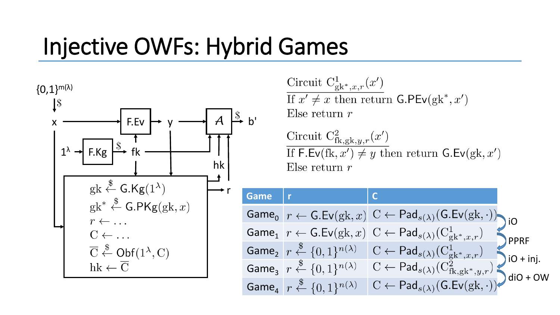## Injective OWFs: Hybrid Games



Circuit  $C_{\aleph^*,x,r}^1(x')$ If  $x' \neq x$  then return G.PEv(gk<sup>\*</sup>, x') Else return  $r$ 

Circuit  $C_{fk, gk, y, r}^{2}(x')$ If  $\mathsf{F}.\mathsf{Ev}(\mathrm{fk},x') \neq y$  then return  $\mathsf{G}.\mathsf{Ev}(\mathrm{g}\mathrm{k},x')$ Else return  $r$ 

| Game |                                                                      |                                                                                                                               |                  |
|------|----------------------------------------------------------------------|-------------------------------------------------------------------------------------------------------------------------------|------------------|
|      |                                                                      | Game <sub>0</sub> $r \leftarrow$ G.Ev(gk, x) $C \leftarrow$ Pad <sub>s(<math>\lambda</math>)</sub> (G.Ev(gk, ·)) iO           |                  |
|      |                                                                      | Game <sub>1</sub> $r \leftarrow$ G.Ev(gk, x) C $\leftarrow$ Pad <sub>s(<math>\lambda</math>)</sub> ( $C_{gk^*,x,r}^1$ )       | <b>PPRF</b>      |
|      |                                                                      | Game <sub>2</sub> $r \stackrel{\$}{\leftarrow} \{0,1\}^{n(\lambda)}$ $C \leftarrow \textsf{Pad}_{s(\lambda)}(C^1_{gk^*,x,r})$ | $\int$ iO + inj. |
|      | Game <sub>3</sub> $r \stackrel{\$}{\leftarrow} \{0,1\}^{n(\lambda)}$ | $C \leftarrow \mathsf{Pad}_{s(\lambda)}(C_{fk, gk^*, y, r}^2)$                                                                | $\int$ diO + OW  |
|      | Game <sub>4</sub> $r \stackrel{\$}{\leftarrow} \{0,1\}^{n(\lambda)}$ | $C \leftarrow \mathsf{Pad}_{s(\lambda)}(\mathsf{G}.\mathsf{Ev}(\mathrm{g}\mathrm{k},\cdot))$                                  |                  |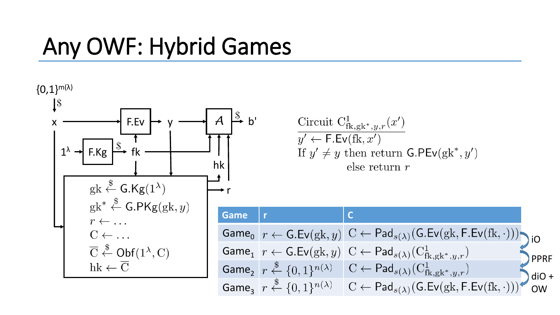### Any OWF: Hybrid Games